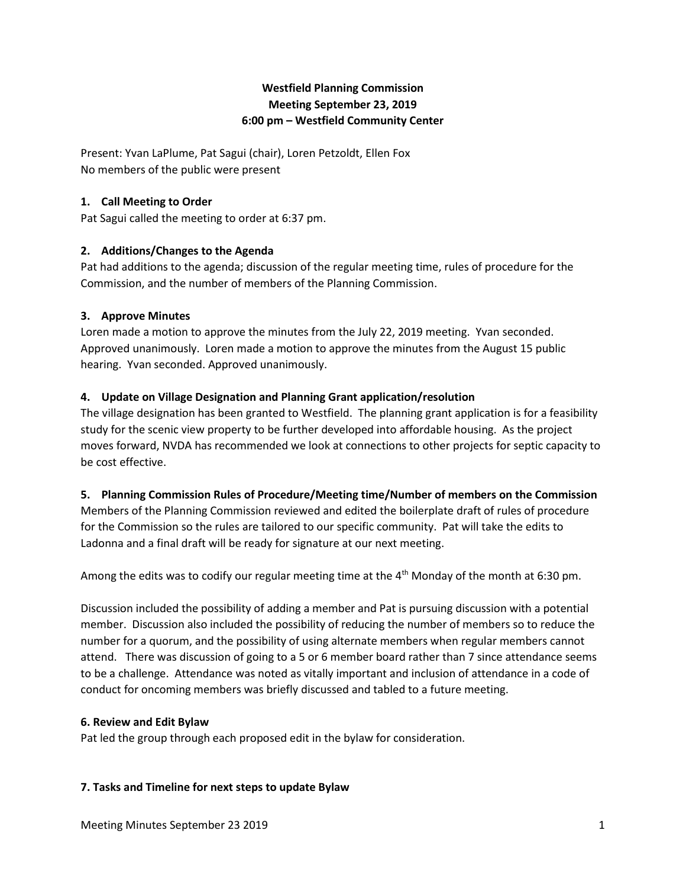# **Westfield Planning Commission Meeting September 23, 2019 6:00 pm – Westfield Community Center**

Present: Yvan LaPlume, Pat Sagui (chair), Loren Petzoldt, Ellen Fox No members of the public were present

## **1. Call Meeting to Order**

Pat Sagui called the meeting to order at 6:37 pm.

# **2. Additions/Changes to the Agenda**

Pat had additions to the agenda; discussion of the regular meeting time, rules of procedure for the Commission, and the number of members of the Planning Commission.

### **3. Approve Minutes**

Loren made a motion to approve the minutes from the July 22, 2019 meeting. Yvan seconded. Approved unanimously. Loren made a motion to approve the minutes from the August 15 public hearing. Yvan seconded. Approved unanimously.

### **4. Update on Village Designation and Planning Grant application/resolution**

The village designation has been granted to Westfield. The planning grant application is for a feasibility study for the scenic view property to be further developed into affordable housing. As the project moves forward, NVDA has recommended we look at connections to other projects for septic capacity to be cost effective.

# **5. Planning Commission Rules of Procedure/Meeting time/Number of members on the Commission**

Members of the Planning Commission reviewed and edited the boilerplate draft of rules of procedure for the Commission so the rules are tailored to our specific community. Pat will take the edits to Ladonna and a final draft will be ready for signature at our next meeting.

Among the edits was to codify our regular meeting time at the 4<sup>th</sup> Monday of the month at 6:30 pm.

Discussion included the possibility of adding a member and Pat is pursuing discussion with a potential member. Discussion also included the possibility of reducing the number of members so to reduce the number for a quorum, and the possibility of using alternate members when regular members cannot attend. There was discussion of going to a 5 or 6 member board rather than 7 since attendance seems to be a challenge. Attendance was noted as vitally important and inclusion of attendance in a code of conduct for oncoming members was briefly discussed and tabled to a future meeting.

### **6. Review and Edit Bylaw**

Pat led the group through each proposed edit in the bylaw for consideration.

### **7. Tasks and Timeline for next steps to update Bylaw**